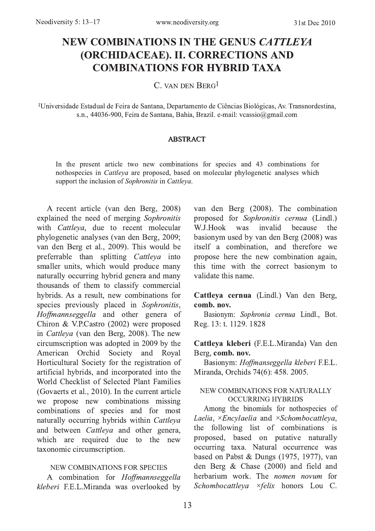# NEW COMBINATIONS IN THE GENUS CATTLEYA **(ORCHIDACEAE). II. CORRECTIONS AND COMBINATIONS FOR HYBRID TAXA**

C VAN DEN BERG<sup>1</sup>

<sup>1</sup>Universidade Estadual de Feira de Santana, Departamento de Ciências Biológicas, Av. Transnordestina, s.n., 44036-900, Feira de Santana, Bahia, Brazil. e-mail: vcassio@gmail.com

#### **ABSTRACT**

In the present article two new combinations for species and 43 combinations for nothospecies in *Cattleya* are proposed, based on molecular phylogenetic analyses which support the inclusion of Sophronitis in Cattleya.

A recent article (van den Berg, 2008) explained the need of merging Sophronitis with Cattleya, due to recent molecular phylogenetic analyses (van den Berg, 2009; van den Berg et al., 2009). This would be preferrable than splitting *Cattleya* into smaller units, which would produce many naturally occurring hybrid genera and many thousands of them to classify commercial hybrids. As a result, new combinations for species previously placed in Sophronitis, Hoffmannseggella and other genera of Chiron & V.P.Castro (2002) were proposed in Cattleya (van den Berg, 2008). The new circumscription was adopted in 2009 by the American Orchid Society and Royal Horticultural Society for the registration of artificial hybrids, and incorporated into the World Checklist of Selected Plant Families (Govaerts et al., 2010). In the current article we propose new combinations missing combinations of species and for most naturally occurring hybrids within Cattleya and between *Cattleya* and other genera, which are required due to the new taxonomic circumscription.

#### NEW COMBINATIONS FOR SPECIES

A combination for Hoffmannseggella kleberi F.E.L.Miranda was overlooked by

van den Berg (2008). The combination proposed for Sophronitis cernua (Lindl.) W.J.Hook was invalid hecause the basionym used by van den Berg (2008) was itself a combination, and therefore we propose here the new combination again, this time with the correct basionym to validate this name.

#### Cattleya cernua (Lindl.) Van den Berg, comb. nov.

Basionym: Sophronia cernua Lindl., Bot. Reg. 13: t. 1129. 1828

#### Cattleya kleberi (F.E.L.Miranda) Van den Berg. comb. nov.

Basionym: Hoffmanseggella kleberi F.E.L. Miranda, Orchids 74(6): 458. 2005.

#### NEW COMBINATIONS FOR NATURALLY **OCCURRING HYBRIDS**

Among the binomials for nothospecies of Laelia,  $\times$ Encylaelia and  $\times$ Schombocattleya, the following list of combinations is proposed, based on putative naturally occurring taxa. Natural occurrence was based on Pabst & Dungs (1975, 1977), van den Berg & Chase (2000) and field and herbarium work. The *nomen novum* for Schombocattleva ×felix honors Lou C.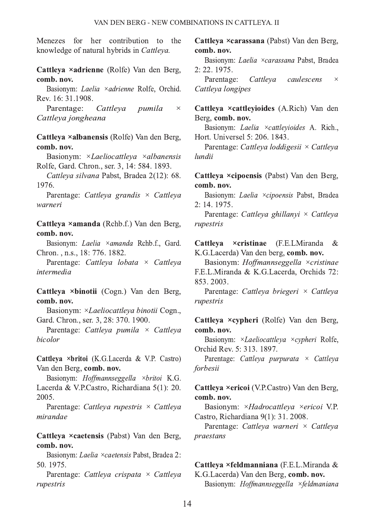Menezes for her contribution to the knowledge of natural hybrids in Cattleva.

Cattleva ×adrienne (Rolfe) Van den Berg. comb. nov.

Basionym: Laelia ×adrienne Rolfe, Orchid. Rev. 16: 31.1908.

Parentage: Cattleva pumila  $\times$ Cattleya jongheana

Cattleva ×albanensis (Rolfe) Van den Berg, comb. nov.

Basionym: ×Laeliocattleya ×albanensis Rolfe, Gard. Chron., ser. 3, 14: 584. 1893.

Cattleva silvana Pabst, Bradea 2(12): 68. 1976.

Parentage: Cattleya grandis  $\times$  Cattleya warneri

Cattleya ×amanda (Rchb.f.) Van den Berg, comb. nov.

Basionym: Laelia ×amanda Rchb.f., Gard. Chron., n.s., 18: 776. 1882.

Parentage: Cattleya lobata  $\times$  Cattleya intermedia

Cattleya ×binotii (Cogn.) Van den Berg, comb. nov.

Basionym: ×Laeliocattleva binotii Cogn... Gard. Chron., ser. 3, 28: 370, 1900.

Parentage: Cattleya pumila  $\times$  Cattleya bicolor

Cattleva ×britoi (K.G.Lacerda & V.P. Castro) Van den Berg, comb. nov.

Basionym: Hoffmannseggella ×britoi K.G. Lacerda & V.P.Castro, Richardiana 5(1): 20. 2005.

Parentage: Cattleya rupestris  $\times$  Cattleya mirandae

Cattleya ×caetensis (Pabst) Van den Berg, comb. nov.

Basionym: Laelia × caetensis Pabst, Bradea 2: 50.1975.

Parentage: Cattleya crispata × Cattleya rupestris

Cattleva ×carassana (Pabst) Van den Berg, comb. nov.

Basionym: Laelia ×carassana Pabst, Bradea 2: 22. 1975.

Parentage: Cattleva caulescens  $\times$ Cattleva longipes

Cattleya ×cattleyioides (A.Rich) Van den Berg, comb. nov.

Basionym: Laelia ×cattlevioides A. Rich.. Hort. Universel 5: 206, 1843.

Parentage: Cattleva loddigesii × Cattleva lundii

Cattleya ×cipoensis (Pabst) Van den Berg, comb. nov.

Basionym: Laelia ×cipoensis Pabst, Bradea 2: 14. 1975.

Parentage: Cattleya ghillanyi × Cattleya rupestris

Cattleva ×cristinae (F.E.LMiranda  $\mathcal{R}_{\mathcal{L}}$ K.G.Lacerda) Van den berg, comb. nov.

Basionym: Hoffmannseggella ×cristinae F.E.L.Miranda & K.G.Lacerda, Orchids 72: 853.2003.

Parentage: Cattleva briegeri × Cattleva rupestris

Cattleya ×cypheri (Rolfe) Van den Berg, comb. nov.

Basionym: ×Laeliocattleva ×cypheri Rolfe. Orchid Rev. 5: 313, 1897.

Parentage: Cattleya purpurata  $\times$  Cattleya forbesii

Cattleya ×ericoi (V.P.Castro) Van den Berg, comb. nov.

Basionym: × Hadrocattleya × ericoi V.P. Castro, Richardiana 9(1): 31, 2008.

Parentage: Cattleya warneri × Cattleya praestans

## Cattleya ×feldmanniana (F.E.L.Miranda &

K.G.Lacerda) Van den Berg, comb. nov. Basionym: Hoffmannseggella ×feldmaniana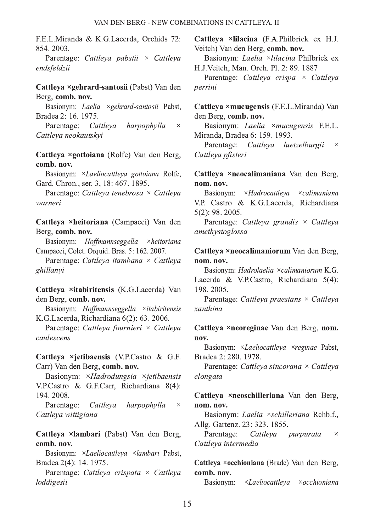F.E.L.Miranda & K.G.Lacerda, Orchids 72: 854.2003.

Parentage: Cattleva pabstii  $\times$  Cattleva endsfeldzii

#### Cattleva ×gehrard-santosii (Pabst) Van den Berg. comb. nov.

Basionym: Laelia ×gehrard-santosii Pabst, Bradea 2: 16, 1975.

Parentage: Cattleya harpophylla  $\times$ Cattleva neokautskvi

Cattleva ×gottoiana (Rolfe) Van den Berg, comb. nov.

Basionym: ×Laeliocattleya gottoiana Rolfe, Gard. Chron., ser. 3, 18: 467, 1895.

Parentage: Cattleva tenebrosa × Cattleva warneri

Cattleya ×heitoriana (Campacci) Van den Berg, comb. nov.

Basionym: Hoffmannseggella  $\times$ *heitoriana* Campacci, Colet. Orquid. Bras. 5: 162. 2007.

Parentage: Cattleya itambana × Cattleya *ohillanvi* 

Cattleya ×itabiritensis (K.G.Lacerda) Van den Berg, comb. nov.

Basionym: Hoffmannseggella ×itabiritensis K.G.Lacerda, Richardiana 6(2): 63. 2006.

Parentage: Cattleva fournieri × Cattleva caulescens

Cattleya ×jetibaensis (V.P.Castro & G.F. Carr) Van den Berg, comb. nov.

Basionym: × Hadrodungsia × ietibaensis V.P.Castro & G.F.Carr. Richardiana 8(4): 194.2008.

Parentage: Cattleva harpophylla  $\times$ Cattleya wittigiana

Cattleya ×lambari (Pabst) Van den Berg, comb. nov.

Basionym: ×Laeliocattleya ×lambari Pabst, Bradea 2(4): 14. 1975.

Parentage: Cattleya crispata × Cattleya loddigesii

Cattleva ×lilacina (F.A.Philbrick ex H.J. Veitch) Van den Berg, comb. nov.

Basionym: *Laelia ×lilacina* Philbrick ex H.J.Veitch, Man. Orch. Pl. 2: 89. 1887

Parentage: Cattleya crispa × Cattleya perrini

Cattleva ×mucugensis (F.E.L.Miranda) Van den Berg. comb. nov.

Basionym: Laelia ×mucugensis F.E.L. Miranda, Bradea 6: 159, 1993.

Parentage: Cattleva luetzelburgii  $\times$ Cattleva pfisteri

#### Cattleya ×neocalimaniana Van den Berg, nom. nov.

Basionym: × Hadrocattleva  $\times$ calimaniana V.P. Castro & K.G.Lacerda, Richardiana  $5(2): 98.2005.$ 

Parentage: Cattleya grandis  $\times$  Cattleya amethystoglossa

#### Cattleva ×neocalimaniorum Van den Berg. nom. nov.

Basionym: *Hadrolaelia ×calimaniorum* K.G. Lacerda & V.P.Castro, Richardiana 5(4): 198.2005.

Parentage: Cattleva praestans × Cattleva xanthina

#### Cattleya ×neoreginae Van den Berg, nom. nov.

Basionym: ×*Laeliocattleva ×reginae* Pabst, Bradea 2: 280. 1978.

Parentage: Cattleya sincorana × Cattleya elongata

### Cattleva ×neoschilleriana Van den Berg. nom. nov.

Basionym: Laelia ×schilleriana Rchb.f., Allg. Gartenz. 23: 323. 1855.

Parentage: Cattleya purpurata  $\times$ Cattleva intermedia

Cattleva ×occhioniana (Brade) Van den Berg, comb. nov.

Basionym: × *Laeliocattleva*  $\times$ occhioniana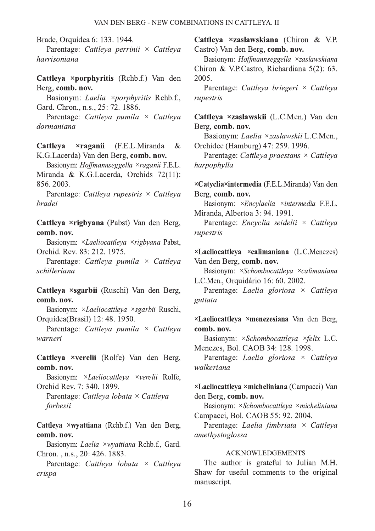Brade, Orquídea 6: 133, 1944.

Parentage: Cattleya perrinii × Cattleya harrisoniana

Cattleva ×porphyritis (Rchb.f.) Van den Berg. comb. nov.

Basionym: Laelia ×porphyritis Rchb.f., Gard. Chron., n.s., 25: 72, 1886.

Parentage: Cattleva pumila × Cattleva dormaniana

Cattleva  $\times$ raganii (F.E.L.Miranda  $\&$ K.G.Lacerda) Van den Berg, comb. nov.

Basionym: Hoffmannseggella ×raganii F.E.L. Miranda & K.G.Lacerda, Orchids 72(11): 856.2003.

Parentage: Cattleya rupestris  $\times$  Cattleya *bradei* 

Cattleva ×rigbvana (Pabst) Van den Berg, comb. nov.

Basionym: ×Laeliocattleya ×rigbyana Pabst, Orchid. Rev. 83: 212. 1975.

Parentage: Cattleya pumila × Cattleya schilleriana

Cattleva ×sgarbii (Ruschi) Van den Berg, comb. nov.

Basionym: ×*Laeliocattleva ×sgarbii* Ruschi. Orquídea(Brasil) 12: 48. 1950.

Parentage: Cattleva pumila  $\times$  Cattleva warneri

Cattleya ×verelii (Rolfe) Van den Berg, comb. nov.

Basionym: ×Laeliocattleya ×verelii Rolfe, Orchid Rev. 7: 340, 1899.

Parentage: Cattleya lobata × Cattleya forbesii

Cattleya ×wyattiana (Rchb.f.) Van den Berg, comb. nov.

Basionym: Laelia ×wyattiana Rchb.f., Gard. Chron., n.s., 20: 426. 1883.

Parentage: Cattleya lobata  $\times$  Cattleya crispa

Cattleva ×zaslawskiana (Chiron & V.P. Castro) Van den Berg, comb. nov.

Basionym: *Hoffmannseggella ×zaslawskiana* Chiron & V.P.Castro, Richardiana 5(2): 63. 2005.

Parentage: Cattleva briegeri × Cattleva rupestris

Cattleya ×zaslawskii (L.C.Men.) Van den Berg, comb. nov.

Basionym: Laelia ×zaslawskii L.C.Men., Orchidee (Hamburg) 47: 259, 1996.

Parentage: Cattleya praestans  $\times$  Cattleya harpophylla

×Catyclia×intermedia (F.E.L.Miranda) Van den Berg, comb. nov.

Basionym: ×Encylaelia ×intermedia F.E.L. Miranda, Albertoa 3: 94, 1991.

Parentage: Encyclia seidelii × Cattleya rupestris

 $\times$ Laeliocattleva  $\times$ calimaniana (L.C.Menezes) Van den Berg. comb. nov.

Basionym: ×Schombocattleya ×calimaniana L.C.Men., Orguidário 16: 60, 2002.

Parentage: Laelia gloriosa × Cattleya guttata

×Laeliocattleya ×menezesiana Van den Berg, comb. nov.

Basionym: ×Schombocattleya ×felix L.C. Menezes, Bol. CAOB 34: 128. 1998.

Parentage: Laelia gloriosa × Cattleya walkeriana

×Laeliocattleva ×micheliniana (Campacci) Van den Berg, comb. nov.

Basionym: ×Schombocattleya ×micheliniana Campacci, Bol. CAOB 55: 92. 2004.

Parentage: Laelia fimbriata × Cattleya amethystoglossa

#### **ACKNOWLEDGEMENTS**

The author is grateful to Julian M.H. Shaw for useful comments to the original manuscript.